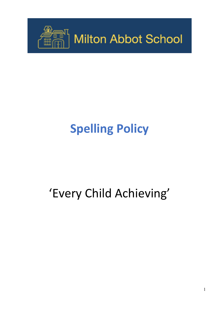

# **Spelling Policy**

# 'Every Child Achieving'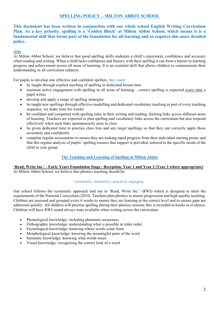# **SPELLING POLICY – MILTON ABBOT SCHOOL**

**This document has been written in conjunction with our whole school English Writing Curriculum Plan. As a key priority, spelling is a 'Golden Block' at Milton Abbot School, which means it is a fundamental skill that forms part of the foundation for all learning and so requires this more detailed policy.**

# **Aim**

At Milton Abbot School, we believe that good spelling skills underpin a child's enjoyment, confidence and accuracy when reading and writing. When a child lacks confidence and fluency with their spelling it can form a barrier to learning progress and achievement across all areas of learning. It is an essential skill that allows children to communicate their understanding in all curriculum subjects.

For pupils to develop into effective and confident spellers, they must:

- be taught through explicit teaching of spelling in dedicated lesson time
- maintain active engagement with spelling in all areas of learning correct spelling is expected every time a pupil writes
- develop and apply a range of spelling strategies
- be taught new spellings through effective modelling and dedicated vocabulary teaching as part of every teaching sequence: we make time for words!
- be confident and competent with spelling rules in their writing and reading, forming links across different areas of learning. Teachers are expected to plan spelling and vocabulary links across the curriculum but also respond effectively when such links spontaneously arise in class
- be given dedicated time to practice class lists and any target spellings so that they can correctly apply these accurately and confidently
- complete regular assessments to ensure they are making rapid progress from their individual starting points and that this regular analysis of pupils' spelling ensures that support is provided, tailored to the specific needs of the child or year group

## **The Teaching and Learning of Spelling at Milton Abbot**

#### **'Read, Write Inc.' - Early Years Foundation Stage / Reception, Year 1 and Year 2 (Year 2 where appropriate)**  At Milton Abbot School, we believe that phonics teaching should be:

#### systematic, interactive, practical, engaging.

Our school follows the systematic approach laid out in 'Read, Write Inc.' (RWI) which is designed to meet the requirements of the National Curriculum (2014). Teachers plan phonics to ensure progression and high-quality teaching. Children are assessed and grouped every 6 weeks to ensure they are learning at the correct level and to ensure gaps are addressed quickly. All children will practise spelling during their phonics session, this is recorded in books as evidence. Children will have RWI sound always mats available when writing across the curriculum.

- Phonological knowledge: including phonemic awareness
- Orthographic knowledge: understanding what is possible in letter order
- Etymological knowledge: knowing where words come from
- Morphological knowledge: knowing the meaningful parts of the word
- Semantic knowledge: knowing what words mean
- Visual knowledge: recognising the correct look of a word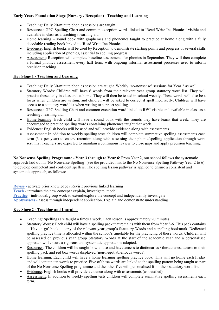# **Early Years Foundation Stage (Nursery / Reception) - Teaching and Learning**

- Teaching: Daily 20-minute phonics sessions are taught.
- Resources: GPC Spelling Chart and common exception words linked to 'Read Write Inc Phonics' visible and available in class as a teaching / learning aid.
- Home learning sound book with graphemes and phonemes taught to practice at home along with a fully decodable reading book linked to 'Read Write Inc Phonics'
- Evidence: English books will be used by Reception to demonstrate starting points and progress of several skills including application of phonics, essential to spelling progress.
- Assessment: Reception will complete baseline assessments for phonics in September. They will then complete a formal phonics assessment every half term, with ongoing informal assessment processes used to inform precision teaching.

# **Key Stage 1 - Teaching and Learning**

- Teaching: Daily 30-minute phonics session are taught. Weekly 'no-nonsense' sessions for Year 2 as well.
- Statutory Words: Children will have 6 words from their relevant year group statutory word list. They will practise these daily in class and at home. They will then be tested in school weekly. These words will also be a focus when children are writing, and children will be asked to correct if spelt incorrectly. Children will have access to a statutory word list when writing to support spelling.
- Resources: GPC Spelling Chart and common exception word linked to RWI visible and available in class as a teaching / learning aid.
- Home learning: Each child will have a sound book with the sounds they have learnt that week. They are encouraged to practice spelling words containing phonemes taught that week.
- Evidence: English books will be used and will provide evidence along with assessments.
- Assessment: In addition to weekly spelling tests children will complete summative spelling assessments each term (3 x per year) to ensure retention along with assessing their phonic/spelling application through work scrutiny. Teachers are expected to maintain a continuous review to close gaps and apply precision teaching.

**No Nonsense Spelling Programme - Year 3 through to Year 6**: From Year 2, our school follows the systematic approach laid out in 'No Nonsense Spelling' (see the provided link to the No Nonsense Spelling Pathway Year 2 to 6) to develop competent and confident spellers. The spelling lesson pathway is applied to ensure a consistent and systematic approach, as follows:

**Revise -** activate prior knowledge / Revisit previous linked learning

**Teach** - introduce the new concept / explain, investigate, model

**Practice** - individual/group work to extend/explore the concept and independently investigate

**Apply/assess** - assess through independent application. Explain and demonstrate understanding

## **Key Stage 2 - Teaching and Learning**

- Teaching: Spellings are taught 4 times a week. Each lesson is approximately 20 minutes.
- Statutory Words: Each child will have a spelling pack that remains with them from Year 3-6. This pack contains a 'Have-a-go' book, a copy of the relevant year group's Statutory Words and a spelling bookmark. Dedicated spelling practice time is allocated within the school's timetable for the practicing of these words. Children will be assessed on previous year group Statutory Words at the start of the academic year and a personalised approach will ensure a rigorous and systematic approach is adopted.
- Resources: The children will be taught how to use and have access to dictionaries / thesauruses, access to their spelling pack and red box words displayed (non-negotiable/focus words).
- Home learning: Each child will have a home learning spelling practice book. This will go home each Friday and will contain ten words to practice. Five of these words are linked to the spelling pattern being taught as part of the No Nonsense Spelling programme and the other five will personalised from their statutory word list.
- Evidence: English books will provide evidence along with assessments (as detailed).
- Assessment: In addition to weekly spelling tests children will complete summative spelling assessments each term.